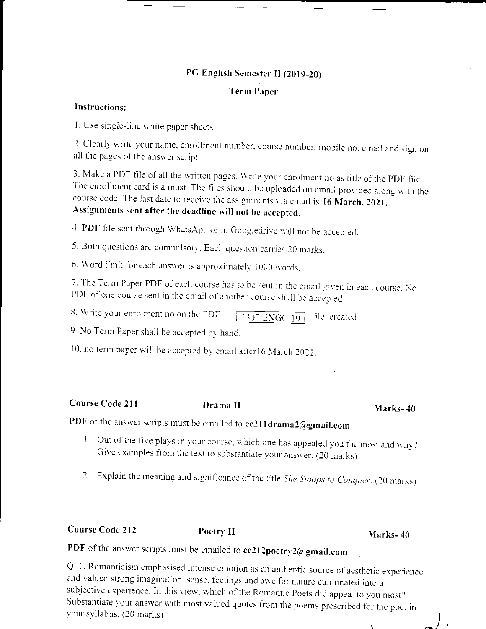# PG English Semester II (2019-20)

## **Term Paper**

### Instructions:

1. Use single-line white paper sheets.

2. Clearly write your name, enrollment number, course number, mobile no, email and sign on all the pages of the answer script.

3. Make a PDF file of all the written pages. Write your enrolment no as title of the PDF file. The enrollment card is a must. The files should be uploaded on email provided along with the course code. The last date to receive the assignments via email is 16 March, 2021. Assignments sent after the deadline will not be accepted.

4. PDF file sent through WhatsApp or in Googledrive will not be accepted.

5. Both questions are compulsory. Each question carries 20 marks.

6. Word limit for each answer is approximately 1000 words.

7. The Term Paper PDF of each course has to be sent in the email given in each course. No PDF of one course sent in the email of another course shall be accepted

8. Write your enrolment no on the PDF 1307 ENGC  $\overline{19}$  file created.

9. No Term Paper shall be accepted by hand.

10. no term paper will be accepted by email after16 March 2021.

Course Code 211

# Drama II

#### Marks-40

PDF of the answer scripts must be emailed to cc211drama2@gmail.com

- 1. Out of the five plays in your course, which one has appealed you the most and why? Give examples from the text to substantiate your answer. (20 marks)
- 2. Explain the meaning and significance of the title She Stoops to Conquer. (20 marks)

**Course Code 212** 

Poetry II

### Marks-40

PDF of the answer scripts must be emailed to cc212poetry2@gmail.com

Q. 1. Romanticism emphasised intense emotion as an authentic source of aesthetic experience and valued strong imagination, sense, feelings and awe for nature culminated into a subjective experience. In this view, which of the Romantic Poets did appeal to you most? Substantiate your answer with most valued quotes from the poems prescribed for the poet in your syllabus. (20 marks)